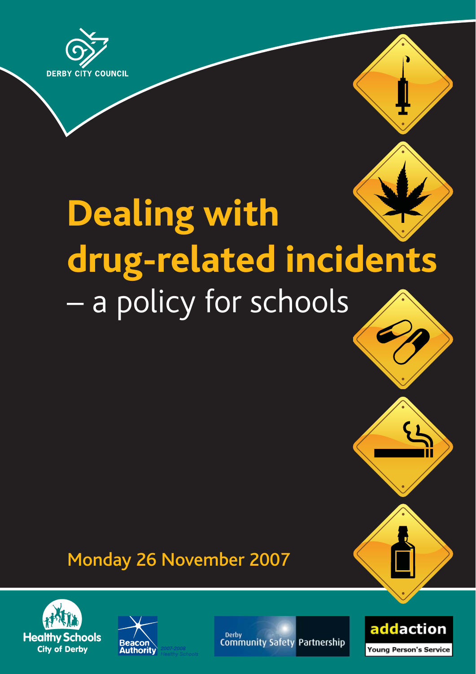

# **Dealing with drug-related incidents** – a policy for schools

# Monday 26 November 2007





Derby **Community Safety Partnership** 



 $\mathcal{F}$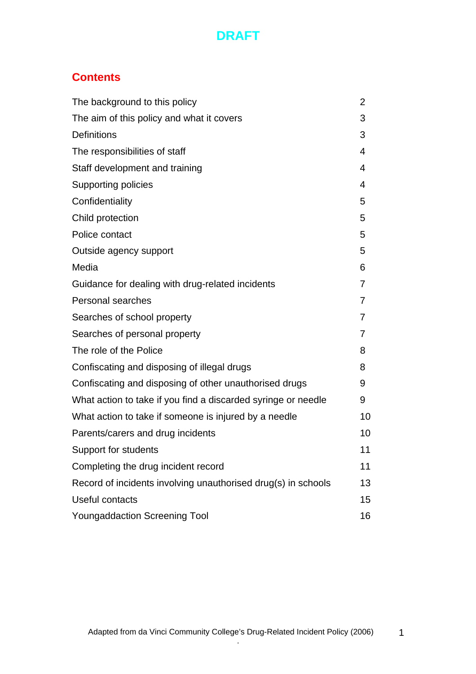# **Contents**

| The background to this policy                                 | 2  |
|---------------------------------------------------------------|----|
| The aim of this policy and what it covers                     | 3  |
| <b>Definitions</b>                                            | 3  |
| The responsibilities of staff                                 | 4  |
| Staff development and training                                | 4  |
| Supporting policies                                           | 4  |
| Confidentiality                                               | 5  |
| Child protection                                              | 5  |
| Police contact                                                | 5  |
| Outside agency support                                        | 5  |
| Media                                                         | 6  |
| Guidance for dealing with drug-related incidents              | 7  |
| Personal searches                                             | 7  |
| Searches of school property                                   | 7  |
| Searches of personal property                                 | 7  |
| The role of the Police                                        | 8  |
| Confiscating and disposing of illegal drugs                   | 8  |
| Confiscating and disposing of other unauthorised drugs        | 9  |
| What action to take if you find a discarded syringe or needle | 9  |
| What action to take if someone is injured by a needle         | 10 |
| Parents/carers and drug incidents                             | 10 |
| Support for students                                          | 11 |
| Completing the drug incident record                           | 11 |
| Record of incidents involving unauthorised drug(s) in schools | 13 |
| Useful contacts                                               | 15 |
| <b>Youngaddaction Screening Tool</b>                          | 16 |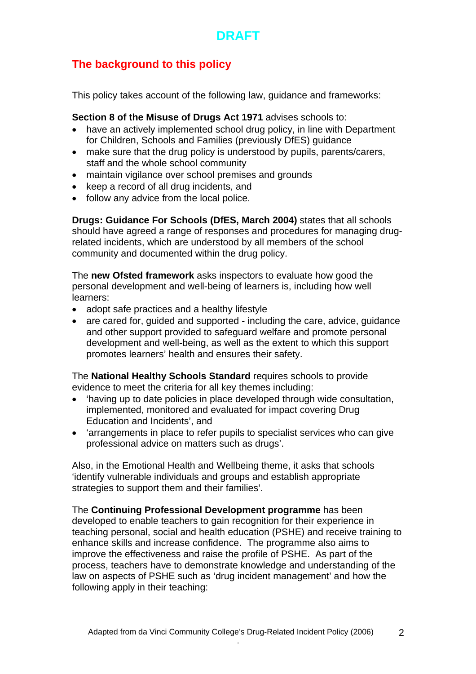# **The background to this policy**

This policy takes account of the following law, guidance and frameworks:

**Section 8 of the Misuse of Drugs Act 1971** advises schools to:

- have an actively implemented school drug policy, in line with Department for Children, Schools and Families (previously DfES) guidance
- make sure that the drug policy is understood by pupils, parents/carers, staff and the whole school community
- maintain vigilance over school premises and grounds
- keep a record of all drug incidents, and
- follow any advice from the local police.

**Drugs: Guidance For Schools (DfES, March 2004)** states that all schools should have agreed a range of responses and procedures for managing drugrelated incidents, which are understood by all members of the school community and documented within the drug policy.

The **new Ofsted framework** asks inspectors to evaluate how good the personal development and well-being of learners is, including how well learners:

- adopt safe practices and a healthy lifestyle
- are cared for, quided and supported including the care, advice, quidance and other support provided to safeguard welfare and promote personal development and well-being, as well as the extent to which this support promotes learners' health and ensures their safety.

The **National Healthy Schools Standard** requires schools to provide evidence to meet the criteria for all key themes including:

- 'having up to date policies in place developed through wide consultation, implemented, monitored and evaluated for impact covering Drug Education and Incidents', and
- 'arrangements in place to refer pupils to specialist services who can give professional advice on matters such as drugs'.

Also, in the Emotional Health and Wellbeing theme, it asks that schools 'identify vulnerable individuals and groups and establish appropriate strategies to support them and their families'.

The **Continuing Professional Development programme** has been developed to enable teachers to gain recognition for their experience in teaching personal, social and health education (PSHE) and receive training to enhance skills and increase confidence. The programme also aims to improve the effectiveness and raise the profile of PSHE. As part of the process, teachers have to demonstrate knowledge and understanding of the law on aspects of PSHE such as 'drug incident management' and how the following apply in their teaching: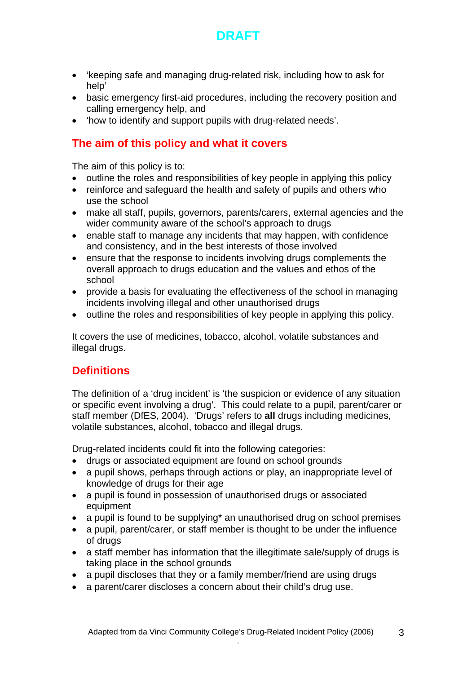

- 'keeping safe and managing drug-related risk, including how to ask for help'
- basic emergency first-aid procedures, including the recovery position and calling emergency help, and
- 'how to identify and support pupils with drug-related needs'.

## **The aim of this policy and what it covers**

The aim of this policy is to:

- outline the roles and responsibilities of key people in applying this policy
- reinforce and safeguard the health and safety of pupils and others who use the school
- make all staff, pupils, governors, parents/carers, external agencies and the wider community aware of the school's approach to drugs
- enable staff to manage any incidents that may happen, with confidence and consistency, and in the best interests of those involved
- ensure that the response to incidents involving drugs complements the overall approach to drugs education and the values and ethos of the school
- provide a basis for evaluating the effectiveness of the school in managing incidents involving illegal and other unauthorised drugs
- outline the roles and responsibilities of key people in applying this policy.

It covers the use of medicines, tobacco, alcohol, volatile substances and illegal drugs.

## **Definitions**

The definition of a 'drug incident' is 'the suspicion or evidence of any situation or specific event involving a drug'. This could relate to a pupil, parent/carer or staff member (DfES, 2004). 'Drugs' refers to **all** drugs including medicines, volatile substances, alcohol, tobacco and illegal drugs.

Drug-related incidents could fit into the following categories:

- drugs or associated equipment are found on school grounds
- a pupil shows, perhaps through actions or play, an inappropriate level of knowledge of drugs for their age
- a pupil is found in possession of unauthorised drugs or associated equipment
- a pupil is found to be supplying<sup>\*</sup> an unauthorised drug on school premises
- a pupil, parent/carer, or staff member is thought to be under the influence of drugs
- a staff member has information that the illegitimate sale/supply of drugs is taking place in the school grounds
- a pupil discloses that they or a family member/friend are using drugs
- a parent/carer discloses a concern about their child's drug use.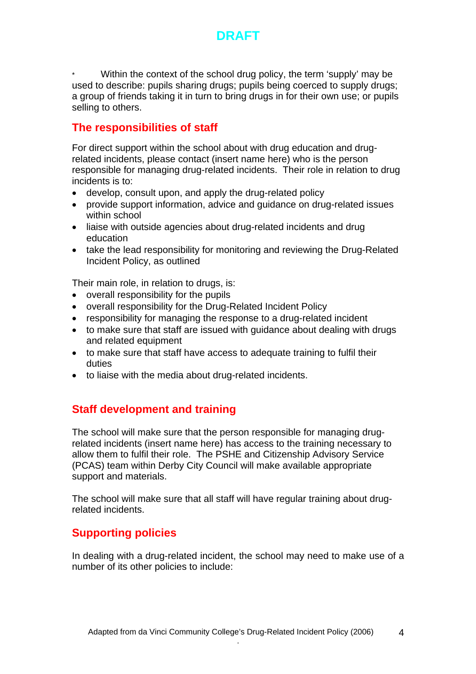

Within the context of the school drug policy, the term 'supply' may be used to describe: pupils sharing drugs; pupils being coerced to supply drugs; a group of friends taking it in turn to bring drugs in for their own use; or pupils selling to others.

## **The responsibilities of staff**

For direct support within the school about with drug education and drugrelated incidents, please contact (insert name here) who is the person responsible for managing drug-related incidents. Their role in relation to drug incidents is to:

- develop, consult upon, and apply the drug-related policy
- provide support information, advice and guidance on drug-related issues within school
- liaise with outside agencies about drug-related incidents and drug education
- take the lead responsibility for monitoring and reviewing the Drug-Related Incident Policy, as outlined

Their main role, in relation to drugs, is:

- overall responsibility for the pupils
- overall responsibility for the Drug-Related Incident Policy
- responsibility for managing the response to a drug-related incident
- to make sure that staff are issued with guidance about dealing with drugs and related equipment
- to make sure that staff have access to adequate training to fulfil their duties
- to liaise with the media about drug-related incidents.

## **Staff development and training**

The school will make sure that the person responsible for managing drugrelated incidents (insert name here) has access to the training necessary to allow them to fulfil their role. The PSHE and Citizenship Advisory Service (PCAS) team within Derby City Council will make available appropriate support and materials.

The school will make sure that all staff will have regular training about drugrelated incidents.

## **Supporting policies**

In dealing with a drug-related incident, the school may need to make use of a number of its other policies to include: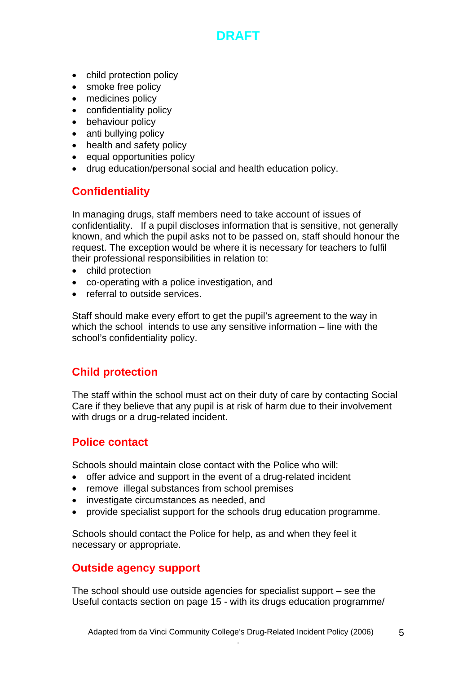- child protection policy
- smoke free policy
- medicines policy
- confidentiality policy
- behaviour policy
- anti bullying policy
- health and safety policy
- equal opportunities policy
- drug education/personal social and health education policy.

# **Confidentiality**

In managing drugs, staff members need to take account of issues of confidentiality. If a pupil discloses information that is sensitive, not generally known, and which the pupil asks not to be passed on, staff should honour the request. The exception would be where it is necessary for teachers to fulfil their professional responsibilities in relation to:

- child protection
- co-operating with a police investigation, and
- referral to outside services.

Staff should make every effort to get the pupil's agreement to the way in which the school intends to use any sensitive information – line with the school's confidentiality policy.

## **Child protection**

The staff within the school must act on their duty of care by contacting Social Care if they believe that any pupil is at risk of harm due to their involvement with drugs or a drug-related incident.

## **Police contact**

Schools should maintain close contact with the Police who will:

- offer advice and support in the event of a drug-related incident
- remove illegal substances from school premises
- investigate circumstances as needed, and
- provide specialist support for the schools drug education programme.

Schools should contact the Police for help, as and when they feel it necessary or appropriate.

## **Outside agency support**

The school should use outside agencies for specialist support – see the Useful contacts section on page 15 - with its drugs education programme/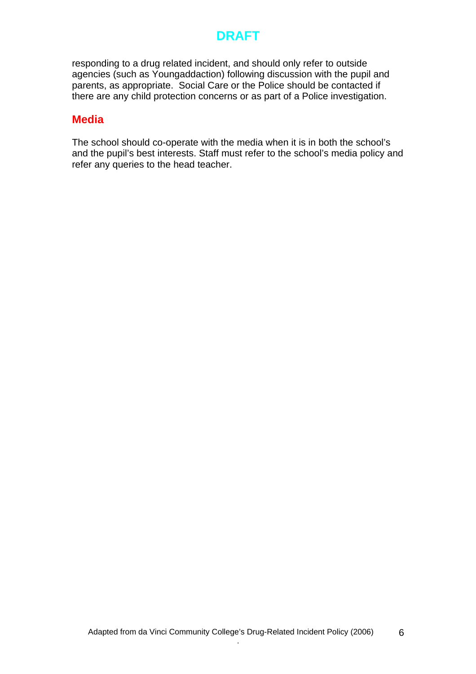responding to a drug related incident, and should only refer to outside agencies (such as Youngaddaction) following discussion with the pupil and parents, as appropriate. Social Care or the Police should be contacted if there are any child protection concerns or as part of a Police investigation.

## **Media**

The school should co-operate with the media when it is in both the school's and the pupil's best interests. Staff must refer to the school's media policy and refer any queries to the head teacher.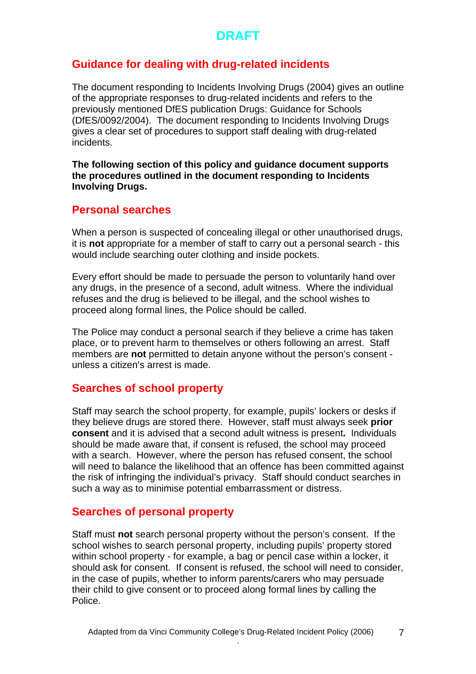## **Guidance for dealing with drug-related incidents**

The document responding to Incidents Involving Drugs (2004) gives an outline of the appropriate responses to drug-related incidents and refers to the previously mentioned DfES publication Drugs: Guidance for Schools (DfES/0092/2004). The document responding to Incidents Involving Drugs gives a clear set of procedures to support staff dealing with drug-related incidents.

**The following section of this policy and guidance document supports the procedures outlined in the document responding to Incidents Involving Drugs.** 

#### **Personal searches**

When a person is suspected of concealing illegal or other unauthorised drugs, it is **not** appropriate for a member of staff to carry out a personal search - this would include searching outer clothing and inside pockets.

Every effort should be made to persuade the person to voluntarily hand over any drugs, in the presence of a second, adult witness. Where the individual refuses and the drug is believed to be illegal, and the school wishes to proceed along formal lines, the Police should be called.

The Police may conduct a personal search if they believe a crime has taken place, or to prevent harm to themselves or others following an arrest.Staff members are **not** permitted to detain anyone without the person's consent unless a citizen's arrest is made.

## **Searches of school property**

Staff may search the school property, for example, pupils' lockers or desks if they believe drugs are stored there. However, staff must always seek **prior consent** and it is advised that a second adult witness is present**.** Individuals should be made aware that, if consent is refused, the school may proceed with a search. However, where the person has refused consent, the school will need to balance the likelihood that an offence has been committed against the risk of infringing the individual's privacy. Staff should conduct searches in such a way as to minimise potential embarrassment or distress.

## **Searches of personal property**

Staff must **not** search personal property without the person's consent.If the school wishes to search personal property, including pupils' property stored within school property - for example, a bag or pencil case within a locker, it should ask for consent. If consent is refused, the school will need to consider, in the case of pupils, whether to inform parents/carers who may persuade their child to give consent or to proceed along formal lines by calling the Police.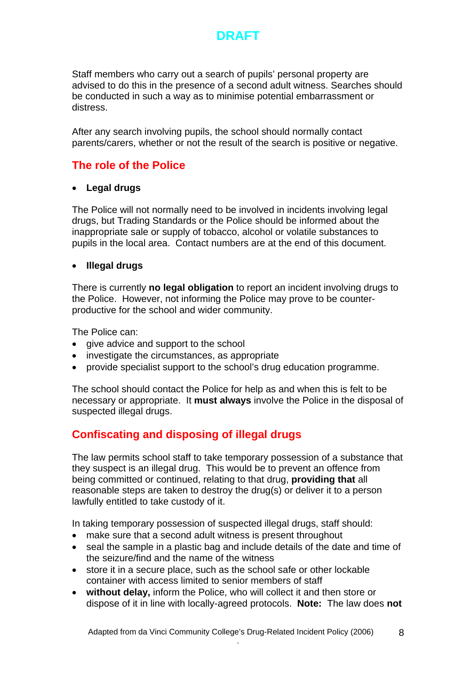

Staff members who carry out a search of pupils' personal property are advised to do this in the presence of a second adult witness. Searches should be conducted in such a way as to minimise potential embarrassment or distress.

After any search involving pupils, the school should normally contact parents/carers, whether or not the result of the search is positive or negative.

# **The role of the Police**

#### • **Legal drugs**

The Police will not normally need to be involved in incidents involving legal drugs, but Trading Standards or the Police should be informed about the inappropriate sale or supply of tobacco, alcohol or volatile substances to pupils in the local area. Contact numbers are at the end of this document.

#### • **Illegal drugs**

There is currently **no legal obligation** to report an incident involving drugs to the Police. However, not informing the Police may prove to be counterproductive for the school and wider community.

The Police can:

- give advice and support to the school
- investigate the circumstances, as appropriate
- provide specialist support to the school's drug education programme.

The school should contact the Police for help as and when this is felt to be necessary or appropriate. It **must always** involve the Police in the disposal of suspected illegal drugs.

## **Confiscating and disposing of illegal drugs**

The law permits school staff to take temporary possession of a substance that they suspect is an illegal drug. This would be to prevent an offence from being committed or continued, relating to that drug, **providing that** all reasonable steps are taken to destroy the drug(s) or deliver it to a person lawfully entitled to take custody of it.

In taking temporary possession of suspected illegal drugs, staff should:

- make sure that a second adult witness is present throughout
- seal the sample in a plastic bag and include details of the date and time of the seizure/find and the name of the witness
- store it in a secure place, such as the school safe or other lockable container with access limited to senior members of staff
- **without delay,** inform the Police, who will collect it and then store or dispose of it in line with locally-agreed protocols. **Note:** The law does **not**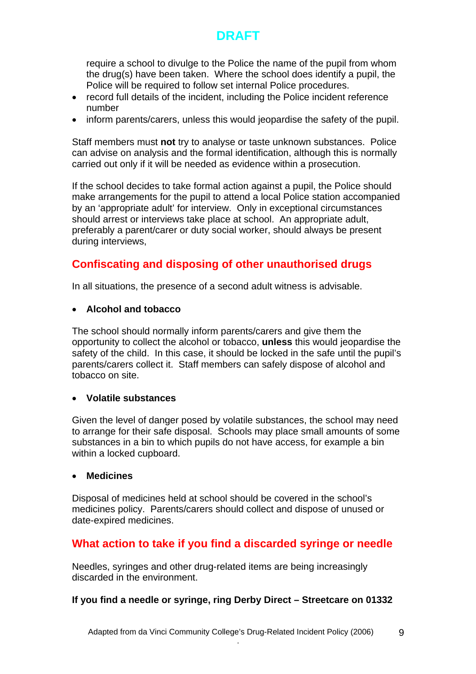require a school to divulge to the Police the name of the pupil from whom the drug(s) have been taken. Where the school does identify a pupil, the Police will be required to follow set internal Police procedures.

- record full details of the incident, including the Police incident reference number
- inform parents/carers, unless this would jeopardise the safety of the pupil.

Staff members must **not** try to analyse or taste unknown substances. Police can advise on analysis and the formal identification, although this is normally carried out only if it will be needed as evidence within a prosecution.

If the school decides to take formal action against a pupil, the Police should make arrangements for the pupil to attend a local Police station accompanied by an 'appropriate adult' for interview. Only in exceptional circumstances should arrest or interviews take place at school. An appropriate adult, preferably a parent/carer or duty social worker, should always be present during interviews,

# **Confiscating and disposing of other unauthorised drugs**

In all situations, the presence of a second adult witness is advisable.

#### • **Alcohol and tobacco**

The school should normally inform parents/carers and give them the opportunity to collect the alcohol or tobacco, **unless** this would jeopardise the safety of the child. In this case, it should be locked in the safe until the pupil's parents/carers collect it. Staff members can safely dispose of alcohol and tobacco on site.

#### • **Volatile substances**

Given the level of danger posed by volatile substances, the school may need to arrange for their safe disposal. Schools may place small amounts of some substances in a bin to which pupils do not have access, for example a bin within a locked cupboard.

#### • **Medicines**

Disposal of medicines held at school should be covered in the school's medicines policy. Parents/carers should collect and dispose of unused or date-expired medicines.

## **What action to take if you find a discarded syringe or needle**

Needles, syringes and other drug-related items are being increasingly discarded in the environment.

#### **If you find a needle or syringe, ring Derby Direct – Streetcare on 01332**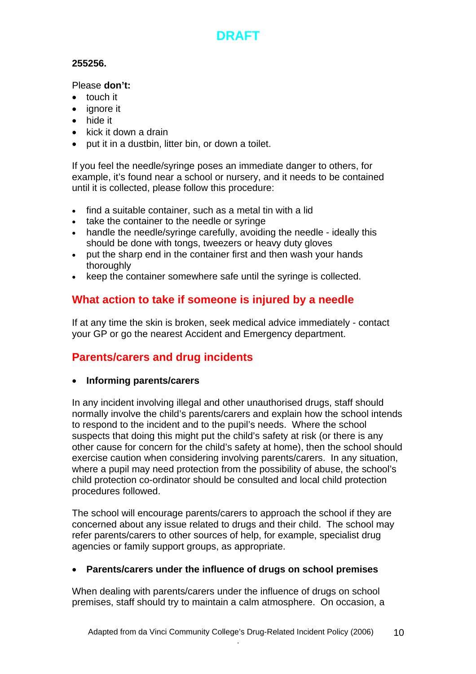#### **255256.**

#### Please **don't:**

- touch it
- ignore it
- hide it
- kick it down a drain
- put it in a dustbin, litter bin, or down a toilet.

If you feel the needle/syringe poses an immediate danger to others, for example, it's found near a school or nursery, and it needs to be contained until it is collected, please follow this procedure:

- find a suitable container, such as a metal tin with a lid
- take the container to the needle or syringe
- handle the needle/syringe carefully, avoiding the needle ideally this should be done with tongs, tweezers or heavy duty gloves
- put the sharp end in the container first and then wash your hands thoroughly
- keep the container somewhere safe until the syringe is collected.

# **What action to take if someone is injured by a needle**

If at any time the skin is broken, seek medical advice immediately - contact your GP or go the nearest Accident and Emergency department.

# **Parents/carers and drug incidents**

• **Informing parents/carers** 

In any incident involving illegal and other unauthorised drugs, staff should normally involve the child's parents/carers and explain how the school intends to respond to the incident and to the pupil's needs. Where the school suspects that doing this might put the child's safety at risk (or there is any other cause for concern for the child's safety at home), then the school should exercise caution when considering involving parents/carers. In any situation, where a pupil may need protection from the possibility of abuse, the school's child protection co-ordinator should be consulted and local child protection procedures followed.

The school will encourage parents/carers to approach the school if they are concerned about any issue related to drugs and their child. The school may refer parents/carers to other sources of help, for example, specialist drug agencies or family support groups, as appropriate.

#### • **Parents/carers under the influence of drugs on school premises**

When dealing with parents/carers under the influence of drugs on school premises, staff should try to maintain a calm atmosphere. On occasion, a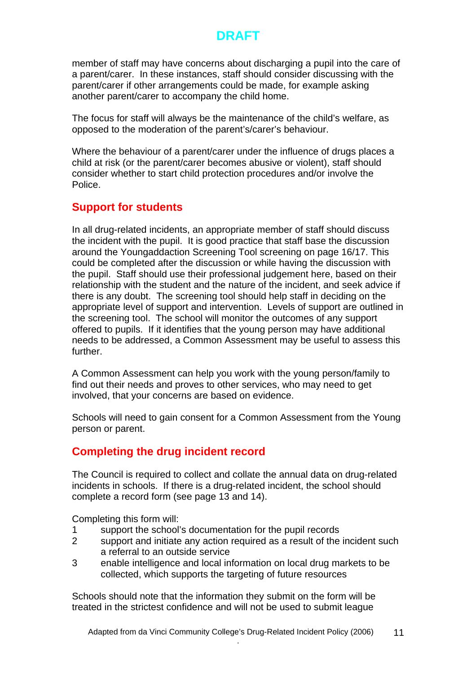member of staff may have concerns about discharging a pupil into the care of a parent/carer. In these instances, staff should consider discussing with the parent/carer if other arrangements could be made, for example asking another parent/carer to accompany the child home.

The focus for staff will always be the maintenance of the child's welfare, as opposed to the moderation of the parent's/carer's behaviour.

Where the behaviour of a parent/carer under the influence of drugs places a child at risk (or the parent/carer becomes abusive or violent), staff should consider whether to start child protection procedures and/or involve the Police.

## **Support for students**

In all drug-related incidents, an appropriate member of staff should discuss the incident with the pupil. It is good practice that staff base the discussion around the Youngaddaction Screening Tool screening on page 16/17. This could be completed after the discussion or while having the discussion with the pupil. Staff should use their professional judgement here, based on their relationship with the student and the nature of the incident, and seek advice if there is any doubt. The screening tool should help staff in deciding on the appropriate level of support and intervention. Levels of support are outlined in the screening tool. The school will monitor the outcomes of any support offered to pupils. If it identifies that the young person may have additional needs to be addressed, a Common Assessment may be useful to assess this further.

A Common Assessment can help you work with the young person/family to find out their needs and proves to other services, who may need to get involved, that your concerns are based on evidence.

Schools will need to gain consent for a Common Assessment from the Young person or parent.

## **Completing the drug incident record**

The Council is required to collect and collate the annual data on drug-related incidents in schools. If there is a drug-related incident, the school should complete a record form (see page 13 and 14).

Completing this form will:

- 1 support the school's documentation for the pupil records
- 2 support and initiate any action required as a result of the incident such a referral to an outside service
- 3 enable intelligence and local information on local drug markets to be collected, which supports the targeting of future resources

Schools should note that the information they submit on the form will be treated in the strictest confidence and will not be used to submit league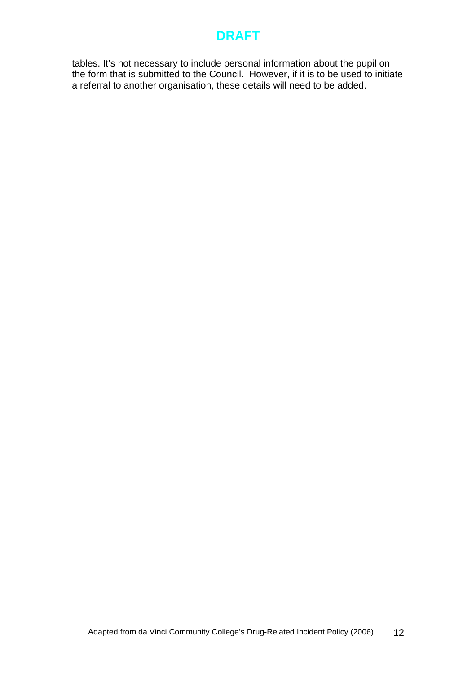tables. It's not necessary to include personal information about the pupil on the form that is submitted to the Council. However, if it is to be used to initiate a referral to another organisation, these details will need to be added.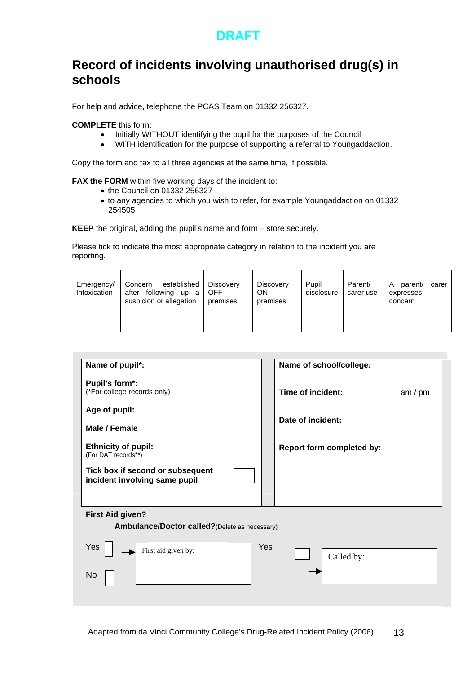# **Record of incidents involving unauthorised drug(s) in schools**

For help and advice, telephone the PCAS Team on 01332 256327.

**COMPLETE** this form:

- Initially WITHOUT identifying the pupil for the purposes of the Council
- WITH identification for the purpose of supporting a referral to Youngaddaction.

Copy the form and fax to all three agencies at the same time, if possible.

**FAX the FORM** within five working days of the incident to:

- the Council on 01332 256327
- to any agencies to which you wish to refer, for example Youngaddaction on 01332 254505

**KEEP** the original, adding the pupil's name and form – store securely.

Please tick to indicate the most appropriate category in relation to the incident you are reporting.

| Emergency/<br>Intoxication | established<br>Concern<br>after following up a<br>suspicion or allegation | Discovery<br>OFF<br>premises | Discovery<br>ON<br>premises | Pupil<br>disclosure | Parent/<br>carer use | parent/<br>A<br>carer<br>expresses<br>concern |
|----------------------------|---------------------------------------------------------------------------|------------------------------|-----------------------------|---------------------|----------------------|-----------------------------------------------|

| Name of pupil*:                                                           | Name of school/college:        |
|---------------------------------------------------------------------------|--------------------------------|
| Pupil's form*:<br>(*For college records only)                             | Time of incident:<br>am / $pm$ |
| Age of pupil:                                                             |                                |
| Male / Female                                                             | Date of incident:              |
| <b>Ethnicity of pupil:</b><br>(For DAT records**)                         | Report form completed by:      |
| Tick box if second or subsequent<br>incident involving same pupil         |                                |
|                                                                           |                                |
| <b>First Aid given?</b><br>Ambulance/Doctor called? (Delete as necessary) |                                |
| Yes<br>First aid given by:                                                | Yes<br>Called by:              |
| No.                                                                       |                                |
|                                                                           |                                |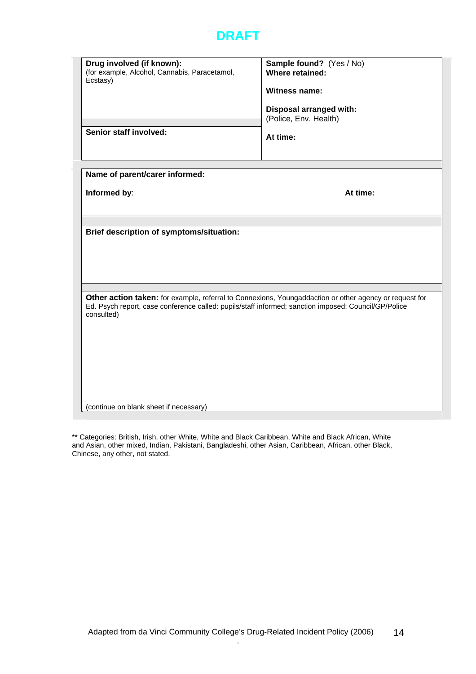| Drug involved (if known):<br>(for example, Alcohol, Cannabis, Paracetamol,                                         | Sample found? (Yes / No)<br>Where retained:                                                            |
|--------------------------------------------------------------------------------------------------------------------|--------------------------------------------------------------------------------------------------------|
| Ecstasy)                                                                                                           |                                                                                                        |
|                                                                                                                    | <b>Witness name:</b>                                                                                   |
|                                                                                                                    | Disposal arranged with:                                                                                |
|                                                                                                                    | (Police, Env. Health)                                                                                  |
| Senior staff involved:                                                                                             |                                                                                                        |
|                                                                                                                    | At time:                                                                                               |
|                                                                                                                    |                                                                                                        |
|                                                                                                                    |                                                                                                        |
| Name of parent/carer informed:                                                                                     |                                                                                                        |
| Informed by:                                                                                                       | At time:                                                                                               |
|                                                                                                                    |                                                                                                        |
|                                                                                                                    |                                                                                                        |
| Brief description of symptoms/situation:                                                                           |                                                                                                        |
|                                                                                                                    |                                                                                                        |
|                                                                                                                    |                                                                                                        |
|                                                                                                                    |                                                                                                        |
|                                                                                                                    |                                                                                                        |
|                                                                                                                    |                                                                                                        |
| Ed. Psych report, case conference called: pupils/staff informed; sanction imposed: Council/GP/Police<br>consulted) | Other action taken: for example, referral to Connexions, Youngaddaction or other agency or request for |
|                                                                                                                    |                                                                                                        |
|                                                                                                                    |                                                                                                        |
|                                                                                                                    |                                                                                                        |
|                                                                                                                    |                                                                                                        |
|                                                                                                                    |                                                                                                        |
|                                                                                                                    |                                                                                                        |
|                                                                                                                    |                                                                                                        |
| (continue on blank sheet if necessary)                                                                             |                                                                                                        |

\*\* Categories: British, Irish, other White, White and Black Caribbean, White and Black African, White and Asian, other mixed, Indian, Pakistani, Bangladeshi, other Asian, Caribbean, African, other Black, Chinese, any other, not stated.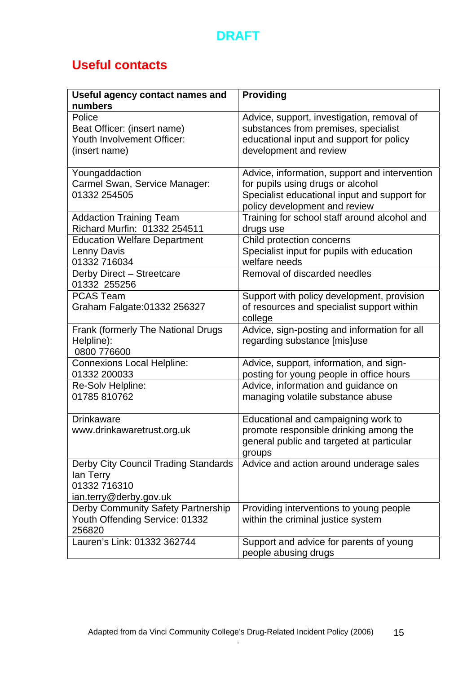

# **Useful contacts**

| Useful agency contact names and                                                                 | Providing                                                                                                                                                           |
|-------------------------------------------------------------------------------------------------|---------------------------------------------------------------------------------------------------------------------------------------------------------------------|
| numbers<br>Police<br>Beat Officer: (insert name)<br>Youth Involvement Officer:<br>(insert name) | Advice, support, investigation, removal of<br>substances from premises, specialist<br>educational input and support for policy<br>development and review            |
| Youngaddaction<br>Carmel Swan, Service Manager:<br>01332 254505                                 | Advice, information, support and intervention<br>for pupils using drugs or alcohol<br>Specialist educational input and support for<br>policy development and review |
| <b>Addaction Training Team</b><br>Richard Murfin: 01332 254511                                  | Training for school staff around alcohol and<br>drugs use                                                                                                           |
| <b>Education Welfare Department</b><br>Lenny Davis<br>01332 716034                              | Child protection concerns<br>Specialist input for pupils with education<br>welfare needs                                                                            |
| Derby Direct - Streetcare<br>01332 255256                                                       | Removal of discarded needles                                                                                                                                        |
| <b>PCAS Team</b><br>Graham Falgate: 01332 256327                                                | Support with policy development, provision<br>of resources and specialist support within<br>college                                                                 |
| Frank (formerly The National Drugs<br>Helpline):<br>0800 776600                                 | Advice, sign-posting and information for all<br>regarding substance [mis]use                                                                                        |
| <b>Connexions Local Helpline:</b><br>01332 200033                                               | Advice, support, information, and sign-<br>posting for young people in office hours                                                                                 |
| Re-Solv Helpline:<br>01785 810762                                                               | Advice, information and guidance on<br>managing volatile substance abuse                                                                                            |
| <b>Drinkaware</b><br>www.drinkawaretrust.org.uk                                                 | Educational and campaigning work to<br>promote responsible drinking among the<br>general public and targeted at particular<br>groups                                |
| Derby City Council Trading Standards<br>lan Terry<br>01332 716310<br>ian.terry@derby.gov.uk     | Advice and action around underage sales                                                                                                                             |
| Derby Community Safety Partnership<br>Youth Offending Service: 01332<br>256820                  | Providing interventions to young people<br>within the criminal justice system                                                                                       |
| Lauren's Link: 01332 362744                                                                     | Support and advice for parents of young<br>people abusing drugs                                                                                                     |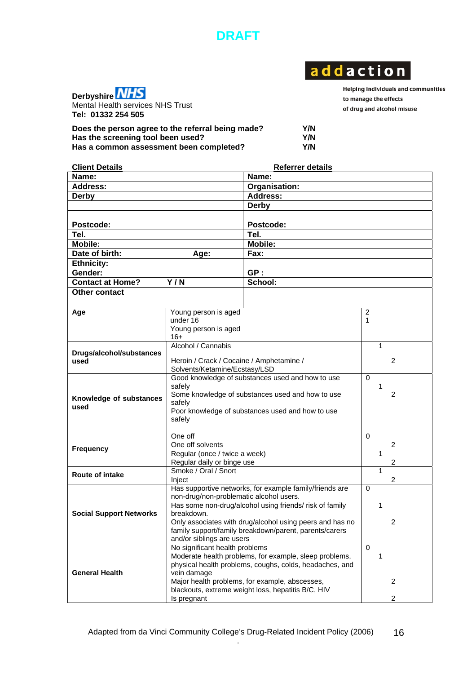

# addaction



Mental Health services NHS Trust **Tel: 01332 254 505** 

Helping individuals and communities to manage the effects of drug and alcohol misuse

| Does the person agree to the referral being made? | Y/N |
|---------------------------------------------------|-----|
| Has the screening tool been used?                 | Y/N |
| Has a common assessment been completed?           | Y/N |

| <b>Client Details</b>           |                                                                           | <b>Referrer details</b>                                 |                |
|---------------------------------|---------------------------------------------------------------------------|---------------------------------------------------------|----------------|
| Name:                           |                                                                           | Name:                                                   |                |
| <b>Address:</b>                 |                                                                           | Organisation:                                           |                |
| <b>Derby</b>                    |                                                                           | <b>Address:</b>                                         |                |
|                                 |                                                                           | Derby                                                   |                |
|                                 |                                                                           |                                                         |                |
| Postcode:                       |                                                                           | Postcode:                                               |                |
| Tel.                            |                                                                           | Tel.                                                    |                |
| <b>Mobile:</b>                  |                                                                           | <b>Mobile:</b>                                          |                |
| Date of birth:                  | Age:                                                                      | Fax:                                                    |                |
| <b>Ethnicity:</b>               |                                                                           |                                                         |                |
| Gender:                         |                                                                           | GP:                                                     |                |
| <b>Contact at Home?</b>         | Y/N                                                                       | School:                                                 |                |
| Other contact                   |                                                                           |                                                         |                |
|                                 |                                                                           |                                                         |                |
| Age                             | Young person is aged                                                      |                                                         | $\overline{c}$ |
|                                 | under 16                                                                  |                                                         | 1              |
|                                 | Young person is aged                                                      |                                                         |                |
|                                 | $16+$                                                                     |                                                         |                |
|                                 | Alcohol / Cannabis                                                        |                                                         | 1              |
| Drugs/alcohol/substances        |                                                                           |                                                         |                |
| used                            | Heroin / Crack / Cocaine / Amphetamine /<br>Solvents/Ketamine/Ecstasy/LSD |                                                         | 2              |
|                                 | Good knowledge of substances used and how to use                          | $\Omega$                                                |                |
|                                 | safely                                                                    | 1                                                       |                |
|                                 | Some knowledge of substances used and how to use                          | 2                                                       |                |
| Knowledge of substances<br>used | safely                                                                    |                                                         |                |
|                                 | Poor knowledge of substances used and how to use                          |                                                         |                |
|                                 | safely                                                                    |                                                         |                |
|                                 | One off                                                                   |                                                         | $\Omega$       |
|                                 | One off solvents                                                          |                                                         | 2              |
| <b>Frequency</b>                | Regular (once / twice a week)                                             |                                                         | 1              |
|                                 | Regular daily or binge use                                                | 2                                                       |                |
|                                 | Smoke / Oral / Snort                                                      |                                                         | 1              |
| <b>Route of intake</b>          | Inject                                                                    |                                                         | 2              |
|                                 |                                                                           | Has supportive networks, for example family/friends are | $\Omega$       |
|                                 | non-drug/non-problematic alcohol users.                                   |                                                         |                |
| <b>Social Support Networks</b>  | Has some non-drug/alcohol using friends/ risk of family                   | 1                                                       |                |
|                                 | breakdown.<br>Only associates with drug/alcohol using peers and has no    |                                                         |                |
|                                 | family support/family breakdown/parent, parents/carers                    | 2                                                       |                |
|                                 | and/or siblings are users                                                 |                                                         |                |
|                                 | No significant health problems                                            |                                                         | $\Omega$       |
|                                 | Moderate health problems, for example, sleep problems,                    | 1                                                       |                |
|                                 | physical health problems, coughs, colds, headaches, and                   |                                                         |                |
| <b>General Health</b>           | vein damage                                                               |                                                         |                |
|                                 | Major health problems, for example, abscesses,                            | 2                                                       |                |
|                                 | blackouts, extreme weight loss, hepatitis B/C, HIV                        |                                                         |                |
|                                 | Is pregnant                                                               |                                                         | 2              |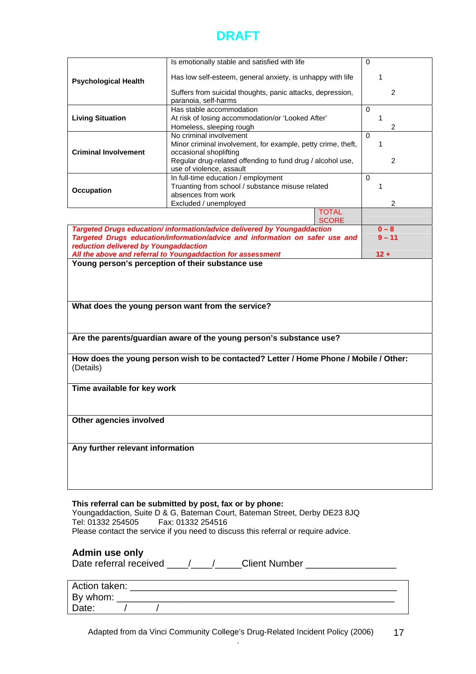|                                       | Is emotionally stable and satisfied with life                                                                   |              | $\Omega$       |
|---------------------------------------|-----------------------------------------------------------------------------------------------------------------|--------------|----------------|
|                                       | Has low self-esteem, general anxiety, is unhappy with life                                                      |              | 1              |
| <b>Psychological Health</b>           |                                                                                                                 |              |                |
|                                       | Suffers from suicidal thoughts, panic attacks, depression,<br>paranoia, self-harms                              |              | 2              |
| Has stable accommodation              |                                                                                                                 |              | $\Omega$       |
| <b>Living Situation</b>               | At risk of losing accommodation/or 'Looked After'                                                               |              | 1              |
|                                       | Homeless, sleeping rough                                                                                        |              | $\overline{2}$ |
|                                       | No criminal involvement                                                                                         |              | $\Omega$       |
| <b>Criminal Involvement</b>           | Minor criminal involvement, for example, petty crime, theft,                                                    |              | 1              |
|                                       | occasional shoplifting<br>Regular drug-related offending to fund drug / alcohol use,                            |              | 2              |
|                                       | use of violence, assault                                                                                        |              |                |
|                                       | In full-time education / employment                                                                             |              | $\Omega$       |
| Occupation                            | Truanting from school / substance misuse related                                                                |              | 1              |
|                                       | absences from work                                                                                              |              |                |
|                                       | Excluded / unemployed                                                                                           | <b>TOTAL</b> | 2              |
|                                       |                                                                                                                 | <b>SCORE</b> |                |
|                                       | Targeted Drugs education/information/advice delivered by Youngaddaction                                         |              | $0 - 8$        |
|                                       | Targeted Drugs education/information/advice and information on safer use and                                    |              | $9 - 11$       |
| reduction delivered by Youngaddaction |                                                                                                                 |              |                |
|                                       | All the above and referral to Youngaddaction for assessment<br>Young person's perception of their substance use |              | $12 +$         |
|                                       |                                                                                                                 |              |                |
|                                       | What does the young person want from the service?                                                               |              |                |
|                                       | Are the parents/guardian aware of the young person's substance use?                                             |              |                |
| (Details)                             | How does the young person wish to be contacted? Letter / Home Phone / Mobile / Other:                           |              |                |
| Time available for key work           |                                                                                                                 |              |                |
|                                       |                                                                                                                 |              |                |
| Other agencies involved               |                                                                                                                 |              |                |
|                                       |                                                                                                                 |              |                |
| Any further relevant information      |                                                                                                                 |              |                |
|                                       |                                                                                                                 |              |                |
|                                       |                                                                                                                 |              |                |
|                                       |                                                                                                                 |              |                |

**This referral can be submitted by post, fax or by phone:**  Youngaddaction, Suite D & G, Bateman Court, Bateman Street, Derby DE23 8JQ Fax: 01332 254516 Please contact the service if you need to discuss this referral or require advice.

#### **Admin use only**

Date referral received \_\_\_\_/\_\_\_\_/\_\_\_\_Client Number \_\_\_\_\_\_\_\_\_\_\_\_\_\_\_\_\_\_\_\_\_\_\_\_\_\_\_\_\_

| Action taken: |  |  |  |  |
|---------------|--|--|--|--|
| By whom:      |  |  |  |  |
| Date:         |  |  |  |  |

Adapted from da Vinci Community College's Drug-Related Incident Policy (2006) . <sup>17</sup>